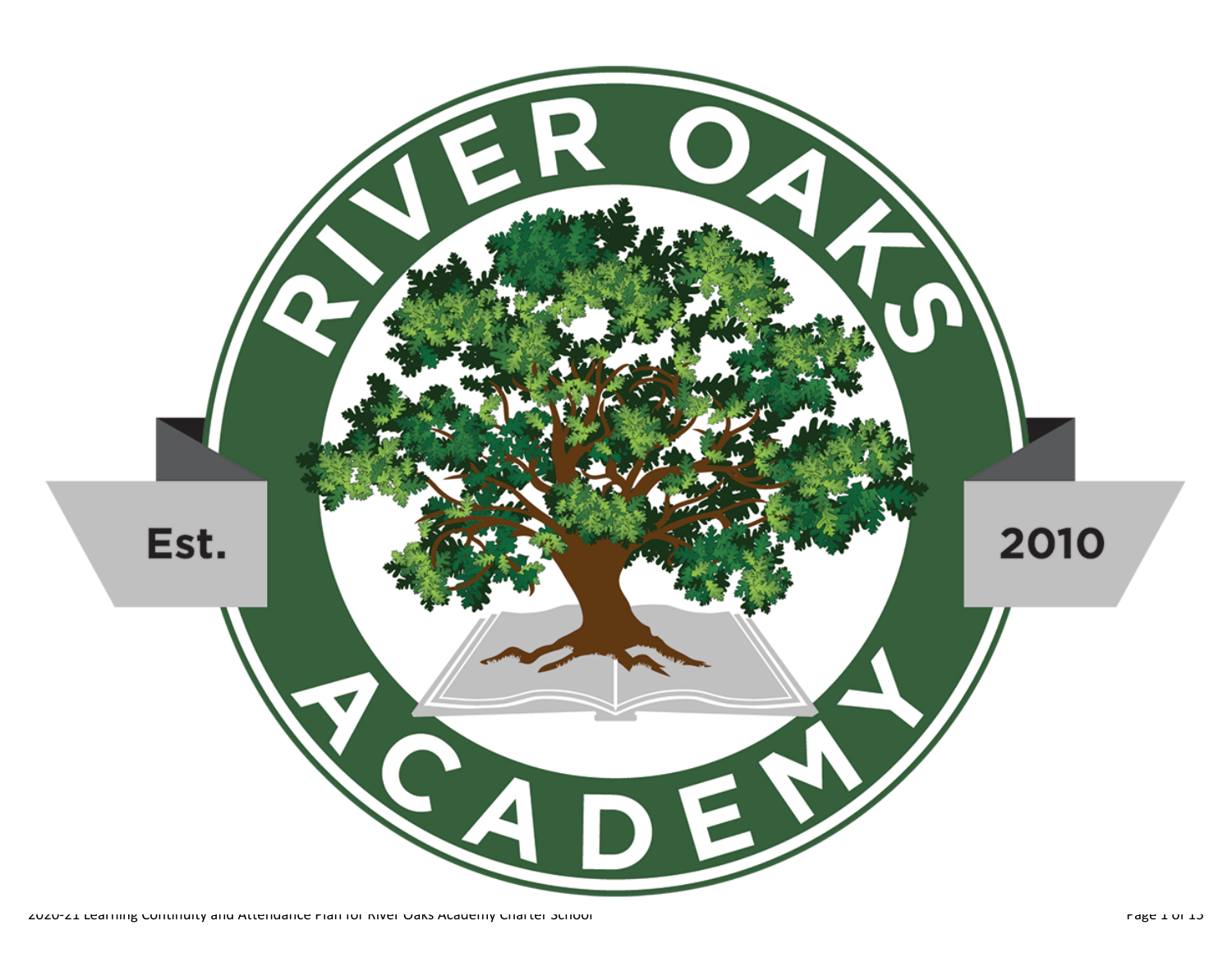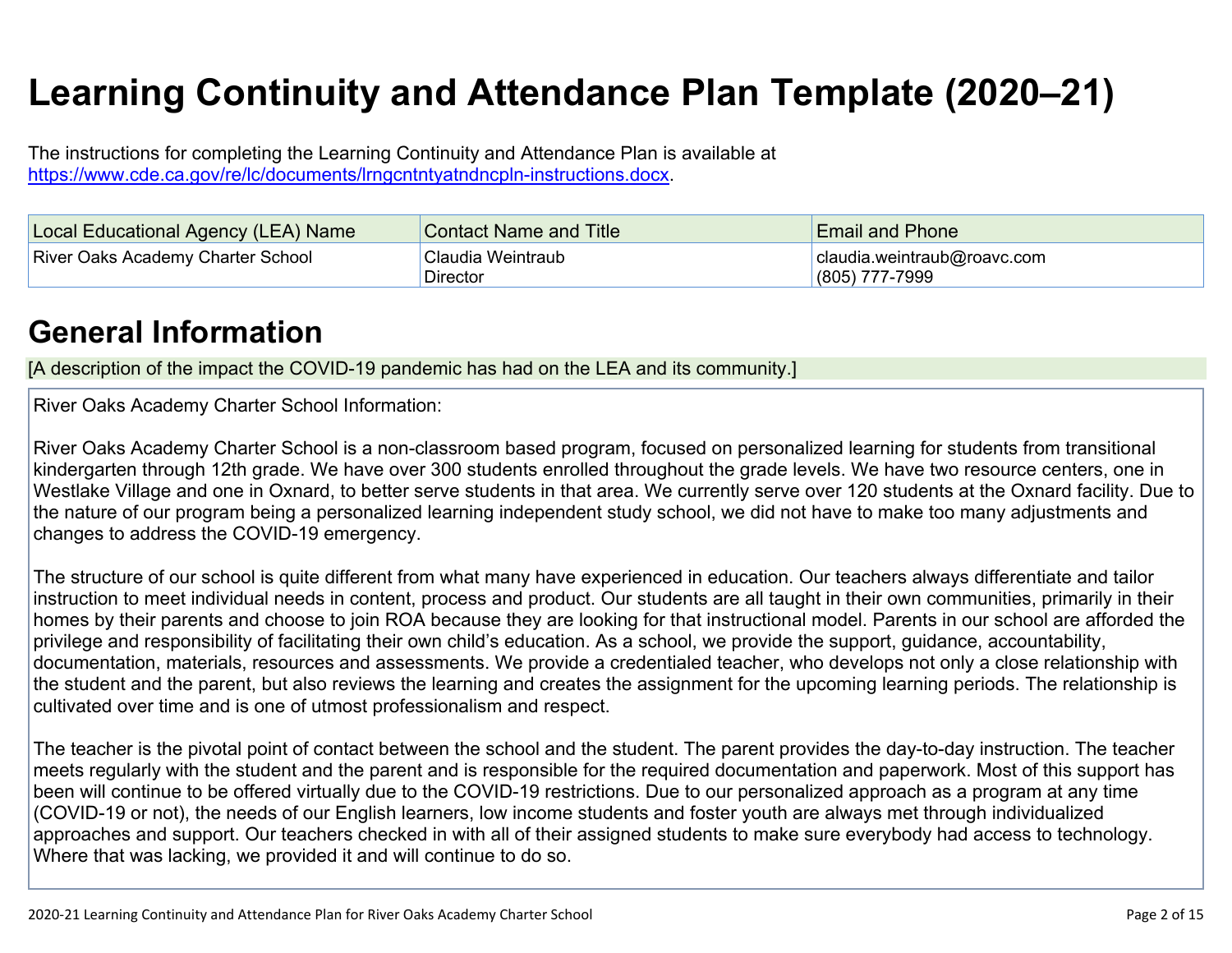# **Learning Continuity and Attendance Plan Template (2020–21)**

The instructions for completing the Learning Continuity and Attendance Plan is available at https://www.cde.ca.gov/re/lc/documents/lrngcntntyatndncpln-instructions.docx.

| Local Educational Agency (LEA) Name      | <b>Contact Name and Title</b>  | <b>Email and Phone</b>                          |
|------------------------------------------|--------------------------------|-------------------------------------------------|
| <b>River Oaks Academy Charter School</b> | 'Claudia Weintraub<br>Director | claudia.weintraub@roavc.com<br>$(805)$ 777-7999 |

### **General Information**

[A description of the impact the COVID-19 pandemic has had on the LEA and its community.]

River Oaks Academy Charter School Information:

River Oaks Academy Charter School is a non-classroom based program, focused on personalized learning for students from transitional kindergarten through 12th grade. We have over 300 students enrolled throughout the grade levels. We have two resource centers, one in Westlake Village and one in Oxnard, to better serve students in that area. We currently serve over 120 students at the Oxnard facility. Due to the nature of our program being a personalized learning independent study school, we did not have to make too many adjustments and changes to address the COVID-19 emergency.

The structure of our school is quite different from what many have experienced in education. Our teachers always differentiate and tailor instruction to meet individual needs in content, process and product. Our students are all taught in their own communities, primarily in their homes by their parents and choose to join ROA because they are looking for that instructional model. Parents in our school are afforded the privilege and responsibility of facilitating their own child's education. As a school, we provide the support, guidance, accountability, documentation, materials, resources and assessments. We provide a credentialed teacher, who develops not only a close relationship with the student and the parent, but also reviews the learning and creates the assignment for the upcoming learning periods. The relationship is cultivated over time and is one of utmost professionalism and respect.

The teacher is the pivotal point of contact between the school and the student. The parent provides the day-to-day instruction. The teacher meets regularly with the student and the parent and is responsible for the required documentation and paperwork. Most of this support has been will continue to be offered virtually due to the COVID-19 restrictions. Due to our personalized approach as a program at any time (COVID-19 or not), the needs of our English learners, low income students and foster youth are always met through individualized approaches and support. Our teachers checked in with all of their assigned students to make sure everybody had access to technology. Where that was lacking, we provided it and will continue to do so.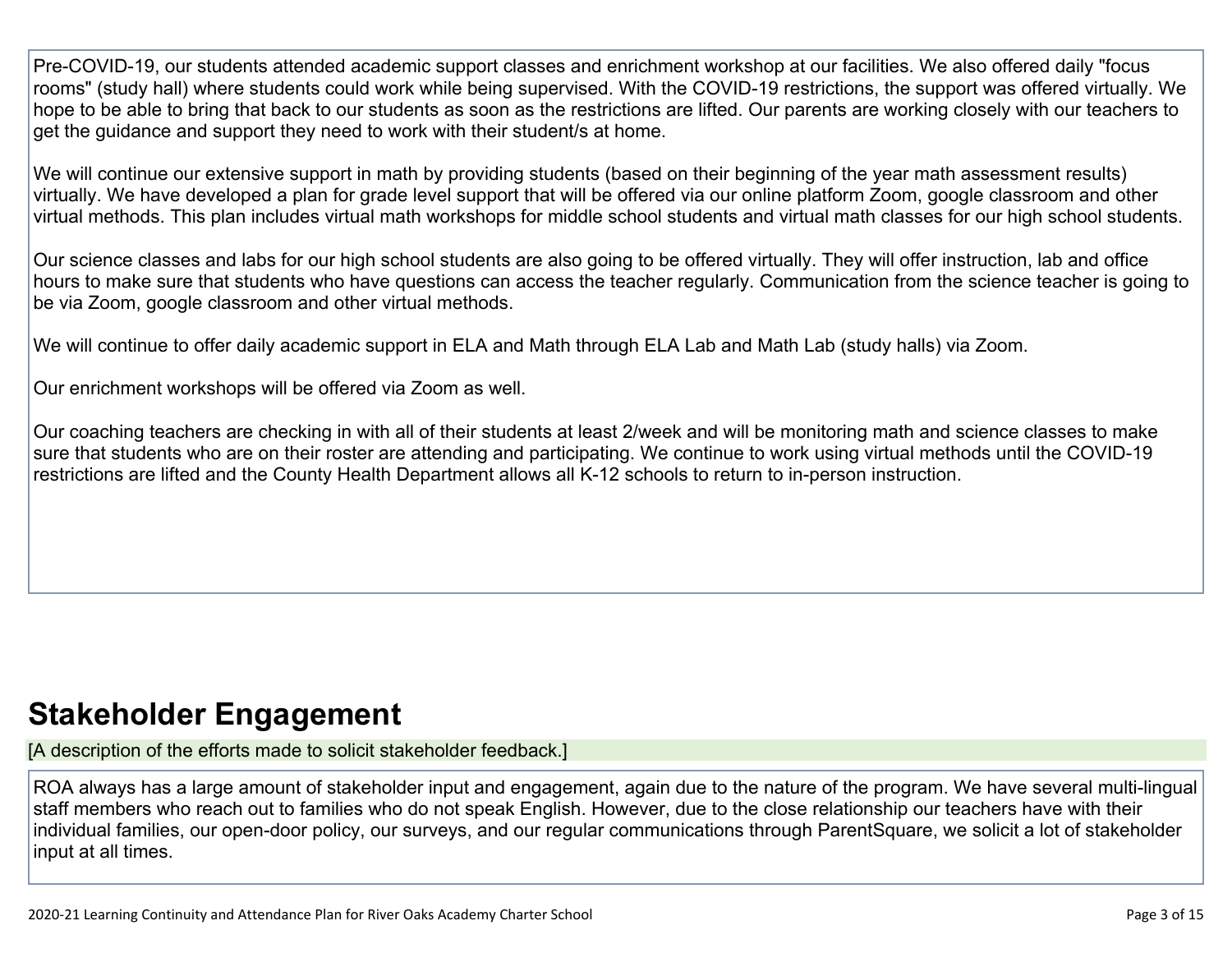Pre-COVID-19, our students attended academic support classes and enrichment workshop at our facilities. We also offered daily "focus rooms" (study hall) where students could work while being supervised. With the COVID-19 restrictions, the support was offered virtually. We hope to be able to bring that back to our students as soon as the restrictions are lifted. Our parents are working closely with our teachers to get the guidance and support they need to work with their student/s at home.

We will continue our extensive support in math by providing students (based on their beginning of the year math assessment results) virtually. We have developed a plan for grade level support that will be offered via our online platform Zoom, google classroom and other virtual methods. This plan includes virtual math workshops for middle school students and virtual math classes for our high school students.

Our science classes and labs for our high school students are also going to be offered virtually. They will offer instruction, lab and office hours to make sure that students who have questions can access the teacher regularly. Communication from the science teacher is going to be via Zoom, google classroom and other virtual methods.

We will continue to offer daily academic support in ELA and Math through ELA Lab and Math Lab (study halls) via Zoom.

Our enrichment workshops will be offered via Zoom as well.

Our coaching teachers are checking in with all of their students at least 2/week and will be monitoring math and science classes to make sure that students who are on their roster are attending and participating. We continue to work using virtual methods until the COVID-19 restrictions are lifted and the County Health Department allows all K-12 schools to return to in-person instruction.

# **Stakeholder Engagement**

[A description of the efforts made to solicit stakeholder feedback.]

ROA always has a large amount of stakeholder input and engagement, again due to the nature of the program. We have several multi-lingual staff members who reach out to families who do not speak English. However, due to the close relationship our teachers have with their individual families, our open-door policy, our surveys, and our regular communications through ParentSquare, we solicit a lot of stakeholder input at all times.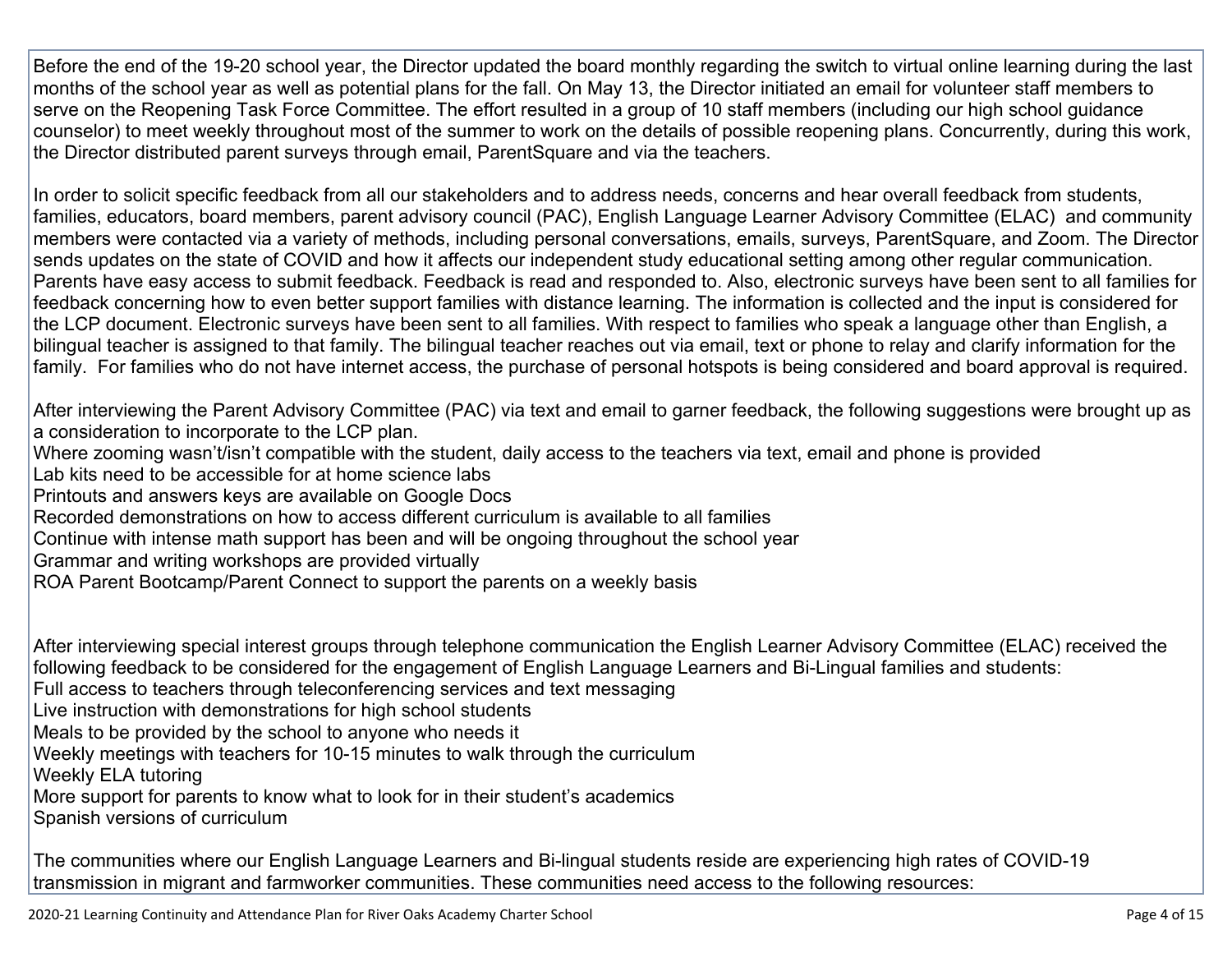Before the end of the 19-20 school year, the Director updated the board monthly regarding the switch to virtual online learning during the last months of the school year as well as potential plans for the fall. On May 13, the Director initiated an email for volunteer staff members to serve on the Reopening Task Force Committee. The effort resulted in a group of 10 staff members (including our high school guidance counselor) to meet weekly throughout most of the summer to work on the details of possible reopening plans. Concurrently, during this work, the Director distributed parent surveys through email, ParentSquare and via the teachers.

In order to solicit specific feedback from all our stakeholders and to address needs, concerns and hear overall feedback from students, families, educators, board members, parent advisory council (PAC), English Language Learner Advisory Committee (ELAC) and community members were contacted via a variety of methods, including personal conversations, emails, surveys, ParentSquare, and Zoom. The Director sends updates on the state of COVID and how it affects our independent study educational setting among other regular communication. Parents have easy access to submit feedback. Feedback is read and responded to. Also, electronic surveys have been sent to all families for feedback concerning how to even better support families with distance learning. The information is collected and the input is considered for the LCP document. Electronic surveys have been sent to all families. With respect to families who speak a language other than English, a bilingual teacher is assigned to that family. The bilingual teacher reaches out via email, text or phone to relay and clarify information for the family. For families who do not have internet access, the purchase of personal hotspots is being considered and board approval is required.

After interviewing the Parent Advisory Committee (PAC) via text and email to garner feedback, the following suggestions were brought up as a consideration to incorporate to the LCP plan.

- Where zooming wasn't/isn't compatible with the student, daily access to the teachers via text, email and phone is provided
- Lab kits need to be accessible for at home science labs
- Printouts and answers keys are available on Google Docs
- Recorded demonstrations on how to access different curriculum is available to all families
- Continue with intense math support has been and will be ongoing throughout the school year
- Grammar and writing workshops are provided virtually
- ROA Parent Bootcamp/Parent Connect to support the parents on a weekly basis

After interviewing special interest groups through telephone communication the English Learner Advisory Committee (ELAC) received the following feedback to be considered for the engagement of English Language Learners and Bi-Lingual families and students: Full access to teachers through teleconferencing services and text messaging

- Live instruction with demonstrations for high school students
- Meals to be provided by the school to anyone who needs it
- Weekly meetings with teachers for 10-15 minutes to walk through the curriculum
- Weekly ELA tutoring
- More support for parents to know what to look for in their student's academics
- Spanish versions of curriculum

The communities where our English Language Learners and Bi-lingual students reside are experiencing high rates of COVID-19 transmission in migrant and farmworker communities. These communities need access to the following resources: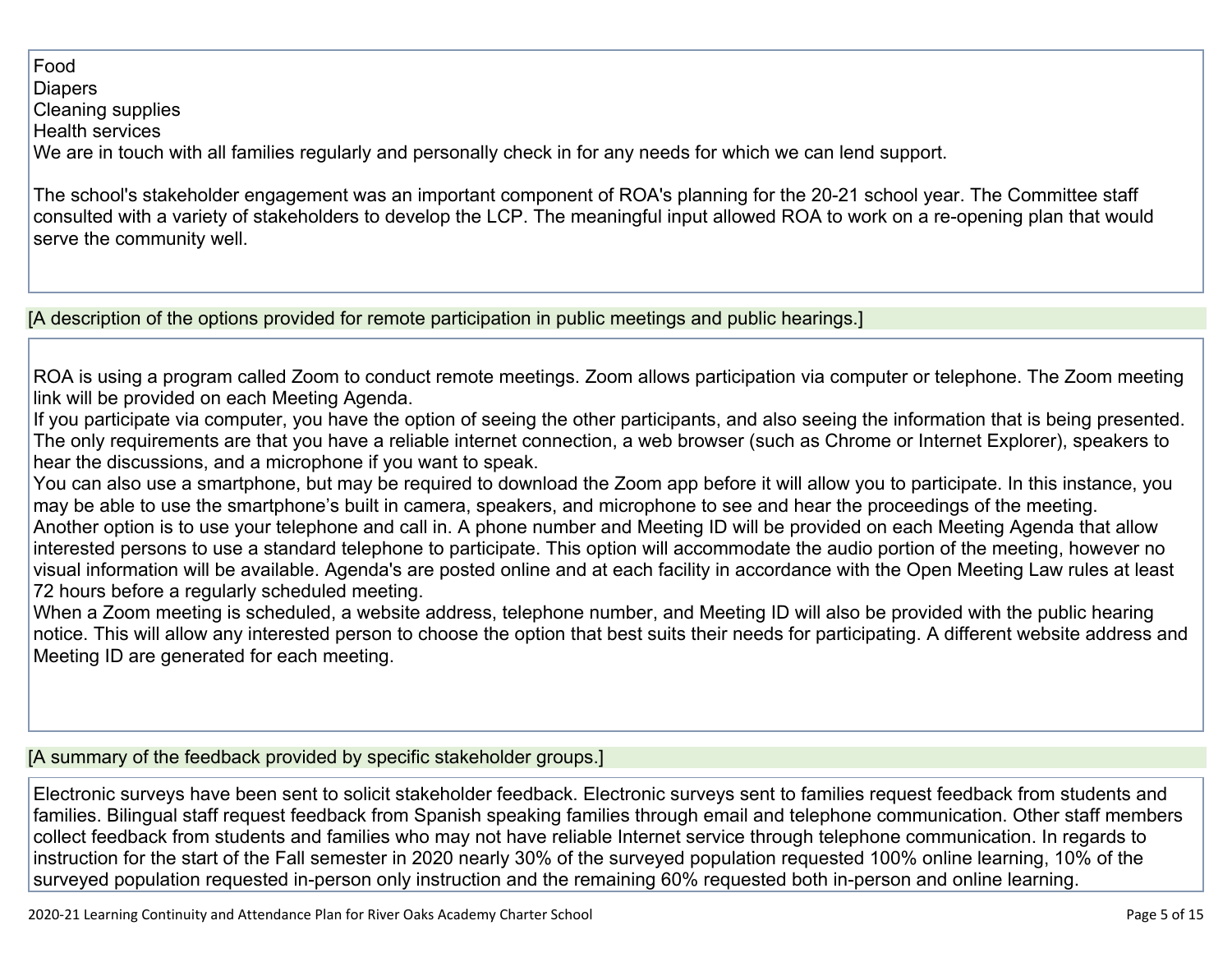#### Food

#### **Diapers**

Cleaning supplies

Health services

We are in touch with all families regularly and personally check in for any needs for which we can lend support.

The school's stakeholder engagement was an important component of ROA's planning for the 20-21 school year. The Committee staff consulted with a variety of stakeholders to develop the LCP. The meaningful input allowed ROA to work on a re-opening plan that would serve the community well.

[A description of the options provided for remote participation in public meetings and public hearings.]

ROA is using a program called Zoom to conduct remote meetings. Zoom allows participation via computer or telephone. The Zoom meeting link will be provided on each Meeting Agenda.

If you participate via computer, you have the option of seeing the other participants, and also seeing the information that is being presented. The only requirements are that you have a reliable internet connection, a web browser (such as Chrome or Internet Explorer), speakers to hear the discussions, and a microphone if you want to speak.

You can also use a smartphone, but may be required to download the Zoom app before it will allow you to participate. In this instance, you may be able to use the smartphone's built in camera, speakers, and microphone to see and hear the proceedings of the meeting. Another option is to use your telephone and call in. A phone number and Meeting ID will be provided on each Meeting Agenda that allow interested persons to use a standard telephone to participate. This option will accommodate the audio portion of the meeting, however no visual information will be available. Agenda's are posted online and at each facility in accordance with the Open Meeting Law rules at least 72 hours before a regularly scheduled meeting.

When a Zoom meeting is scheduled, a website address, telephone number, and Meeting ID will also be provided with the public hearing notice. This will allow any interested person to choose the option that best suits their needs for participating. A different website address and Meeting ID are generated for each meeting.

[A summary of the feedback provided by specific stakeholder groups.]

Electronic surveys have been sent to solicit stakeholder feedback. Electronic surveys sent to families request feedback from students and families. Bilingual staff request feedback from Spanish speaking families through email and telephone communication. Other staff members collect feedback from students and families who may not have reliable Internet service through telephone communication. In regards to instruction for the start of the Fall semester in 2020 nearly 30% of the surveyed population requested 100% online learning, 10% of the surveyed population requested in-person only instruction and the remaining 60% requested both in-person and online learning.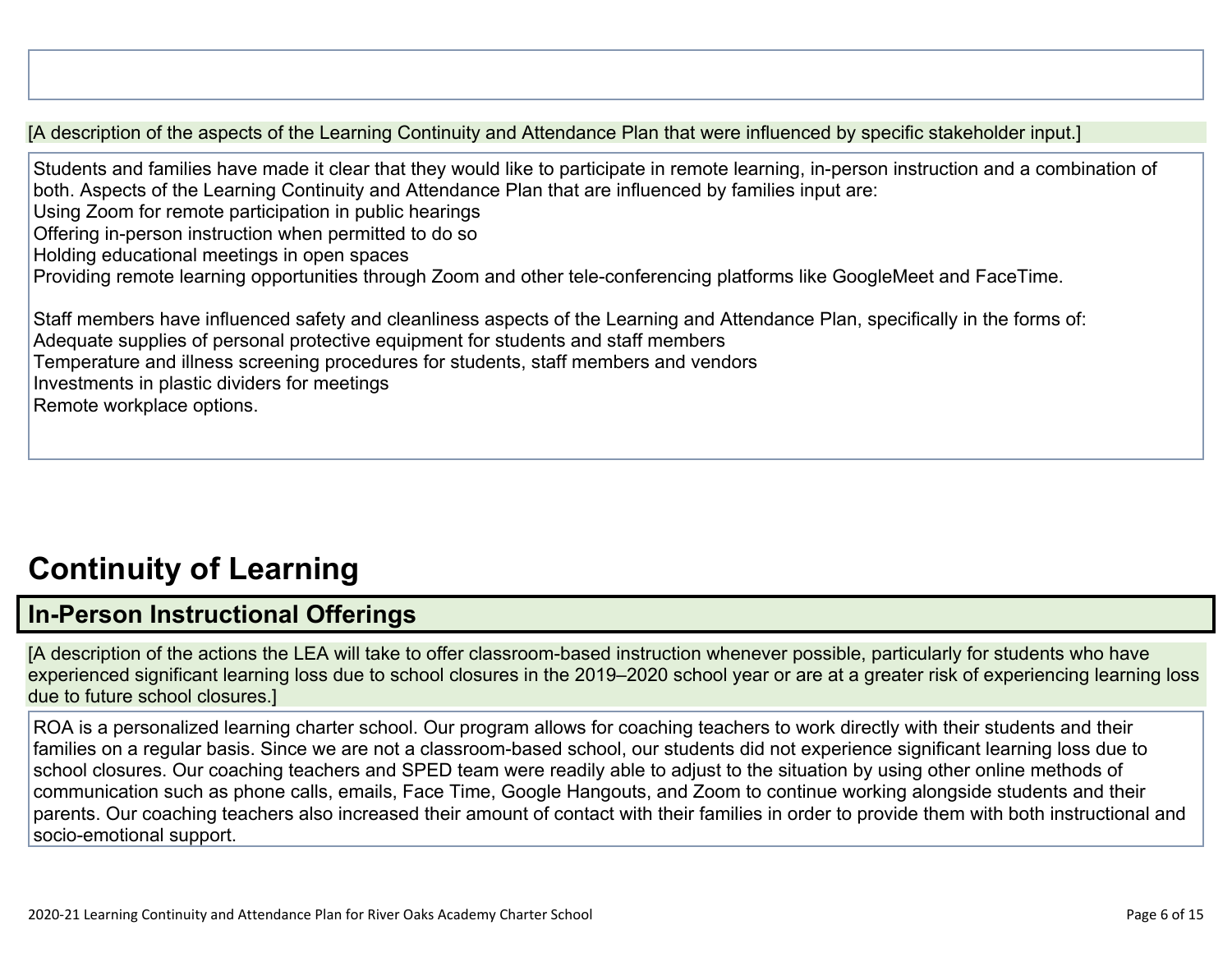[A description of the aspects of the Learning Continuity and Attendance Plan that were influenced by specific stakeholder input.]

Students and families have made it clear that they would like to participate in remote learning, in-person instruction and a combination of both. Aspects of the Learning Continuity and Attendance Plan that are influenced by families input are:

Using Zoom for remote participation in public hearings

Offering in-person instruction when permitted to do so

Holding educational meetings in open spaces

Providing remote learning opportunities through Zoom and other tele-conferencing platforms like GoogleMeet and FaceTime.

Staff members have influenced safety and cleanliness aspects of the Learning and Attendance Plan, specifically in the forms of: Adequate supplies of personal protective equipment for students and staff members Temperature and illness screening procedures for students, staff members and vendors Investments in plastic dividers for meetings Remote workplace options.

# **Continuity of Learning**

### **In-Person Instructional Offerings**

[A description of the actions the LEA will take to offer classroom-based instruction whenever possible, particularly for students who have experienced significant learning loss due to school closures in the 2019–2020 school year or are at a greater risk of experiencing learning loss due to future school closures.]

ROA is a personalized learning charter school. Our program allows for coaching teachers to work directly with their students and their families on a regular basis. Since we are not a classroom-based school, our students did not experience significant learning loss due to school closures. Our coaching teachers and SPED team were readily able to adjust to the situation by using other online methods of communication such as phone calls, emails, Face Time, Google Hangouts, and Zoom to continue working alongside students and their parents. Our coaching teachers also increased their amount of contact with their families in order to provide them with both instructional and socio-emotional support.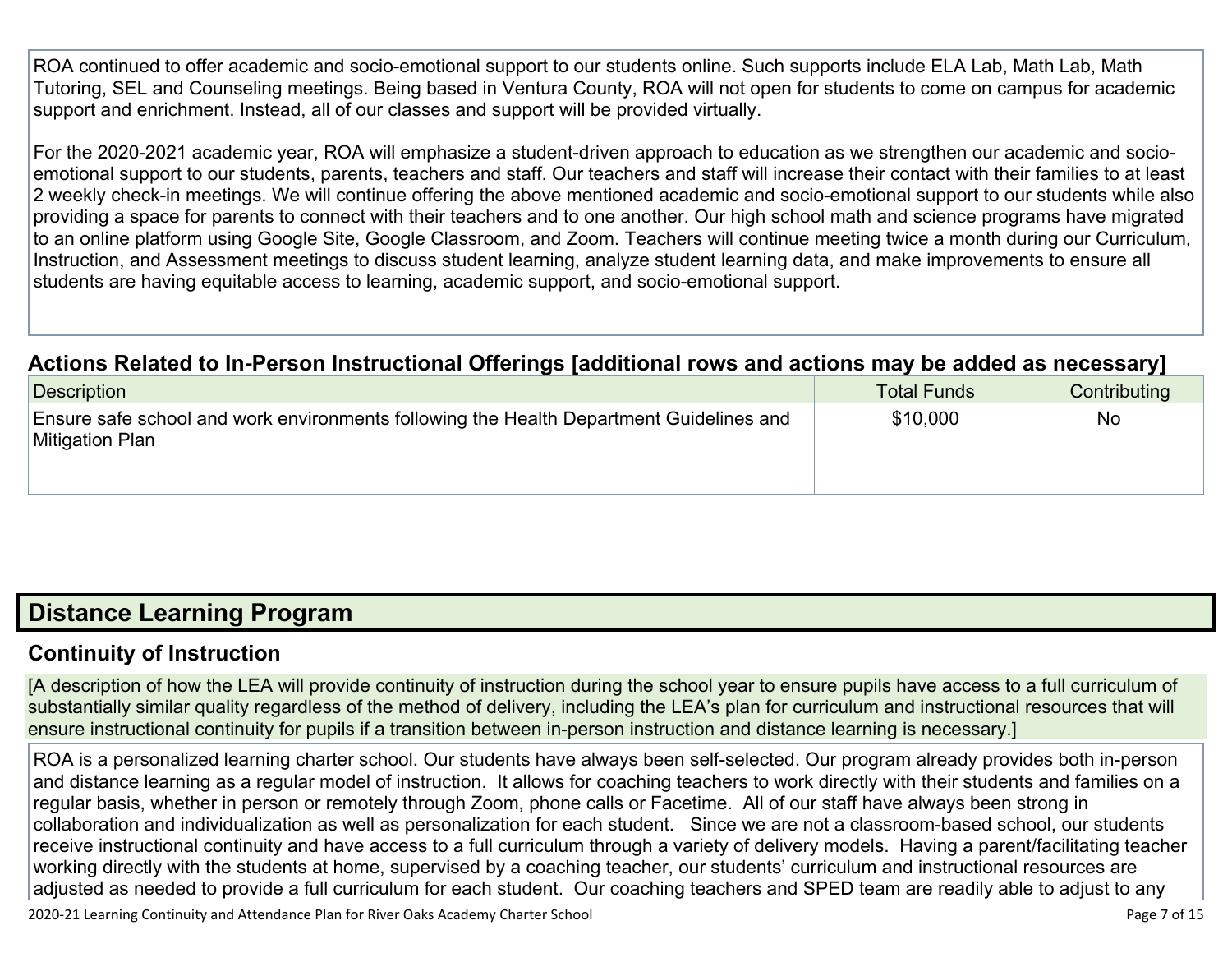ROA continued to offer academic and socio-emotional support to our students online. Such supports include ELA Lab, Math Lab, Math Tutoring, SEL and Counseling meetings. Being based in Ventura County, ROA will not open for students to come on campus for academic support and enrichment. Instead, all of our classes and support will be provided virtually.

For the 2020-2021 academic year, ROA will emphasize a student-driven approach to education as we strengthen our academic and socioemotional support to our students, parents, teachers and staff. Our teachers and staff will increase their contact with their families to at least 2 weekly check-in meetings. We will continue offering the above mentioned academic and socio-emotional support to our students while also providing a space for parents to connect with their teachers and to one another. Our high school math and science programs have migrated to an online platform using Google Site, Google Classroom, and Zoom. Teachers will continue meeting twice a month during our Curriculum, Instruction, and Assessment meetings to discuss student learning, analyze student learning data, and make improvements to ensure all students are having equitable access to learning, academic support, and socio-emotional support.

#### **Actions Related to In-Person Instructional Offerings [additional rows and actions may be added as necessary]**

| <b>Description</b>                                                                                         | <b>Total Funds</b> | Contributing |
|------------------------------------------------------------------------------------------------------------|--------------------|--------------|
| Ensure safe school and work environments following the Health Department Guidelines and<br>Mitigation Plan | \$10,000           | <b>No</b>    |

### **Distance Learning Program**

### **Continuity of Instruction**

[A description of how the LEA will provide continuity of instruction during the school year to ensure pupils have access to a full curriculum of substantially similar quality regardless of the method of delivery, including the LEA's plan for curriculum and instructional resources that will ensure instructional continuity for pupils if a transition between in-person instruction and distance learning is necessary.]

ROA is a personalized learning charter school. Our students have always been self-selected. Our program already provides both in-person and distance learning as a regular model of instruction. It allows for coaching teachers to work directly with their students and families on a regular basis, whether in person or remotely through Zoom, phone calls or Facetime. All of our staff have always been strong in collaboration and individualization as well as personalization for each student. Since we are not a classroom-based school, our students receive instructional continuity and have access to a full curriculum through a variety of delivery models. Having a parent/facilitating teacher working directly with the students at home, supervised by a coaching teacher, our students' curriculum and instructional resources are adjusted as needed to provide a full curriculum for each student. Our coaching teachers and SPED team are readily able to adjust to any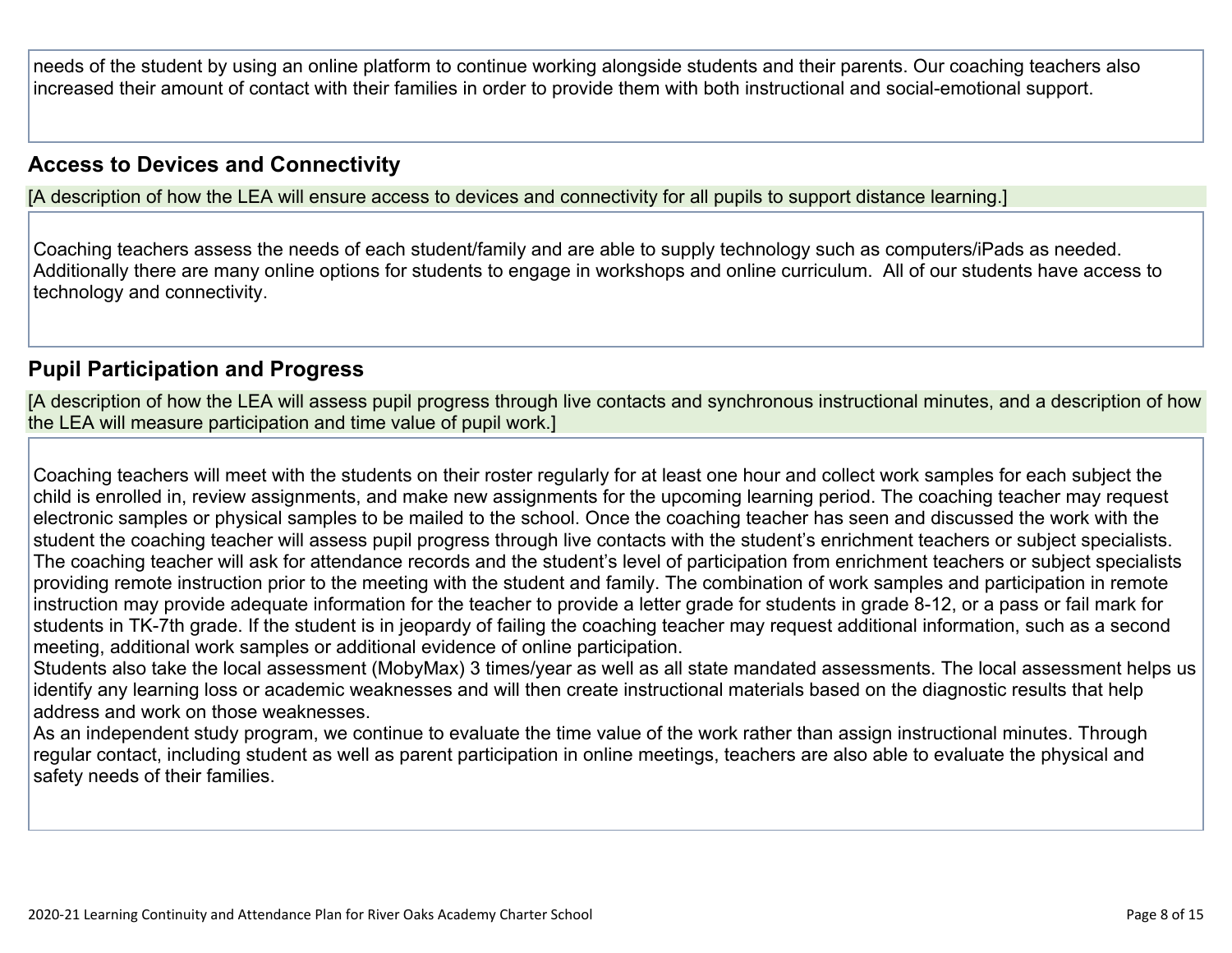needs of the student by using an online platform to continue working alongside students and their parents. Our coaching teachers also increased their amount of contact with their families in order to provide them with both instructional and social-emotional support.

#### **Access to Devices and Connectivity**

[A description of how the LEA will ensure access to devices and connectivity for all pupils to support distance learning.]

Coaching teachers assess the needs of each student/family and are able to supply technology such as computers/iPads as needed. Additionally there are many online options for students to engage in workshops and online curriculum. All of our students have access to technology and connectivity.

#### **Pupil Participation and Progress**

[A description of how the LEA will assess pupil progress through live contacts and synchronous instructional minutes, and a description of how the LEA will measure participation and time value of pupil work.]

Coaching teachers will meet with the students on their roster regularly for at least one hour and collect work samples for each subject the child is enrolled in, review assignments, and make new assignments for the upcoming learning period. The coaching teacher may request electronic samples or physical samples to be mailed to the school. Once the coaching teacher has seen and discussed the work with the student the coaching teacher will assess pupil progress through live contacts with the student's enrichment teachers or subject specialists. The coaching teacher will ask for attendance records and the student's level of participation from enrichment teachers or subject specialists providing remote instruction prior to the meeting with the student and family. The combination of work samples and participation in remote instruction may provide adequate information for the teacher to provide a letter grade for students in grade 8-12, or a pass or fail mark for students in TK-7th grade. If the student is in jeopardy of failing the coaching teacher may request additional information, such as a second meeting, additional work samples or additional evidence of online participation.

Students also take the local assessment (MobyMax) 3 times/year as well as all state mandated assessments. The local assessment helps us identify any learning loss or academic weaknesses and will then create instructional materials based on the diagnostic results that help address and work on those weaknesses.

As an independent study program, we continue to evaluate the time value of the work rather than assign instructional minutes. Through regular contact, including student as well as parent participation in online meetings, teachers are also able to evaluate the physical and safety needs of their families.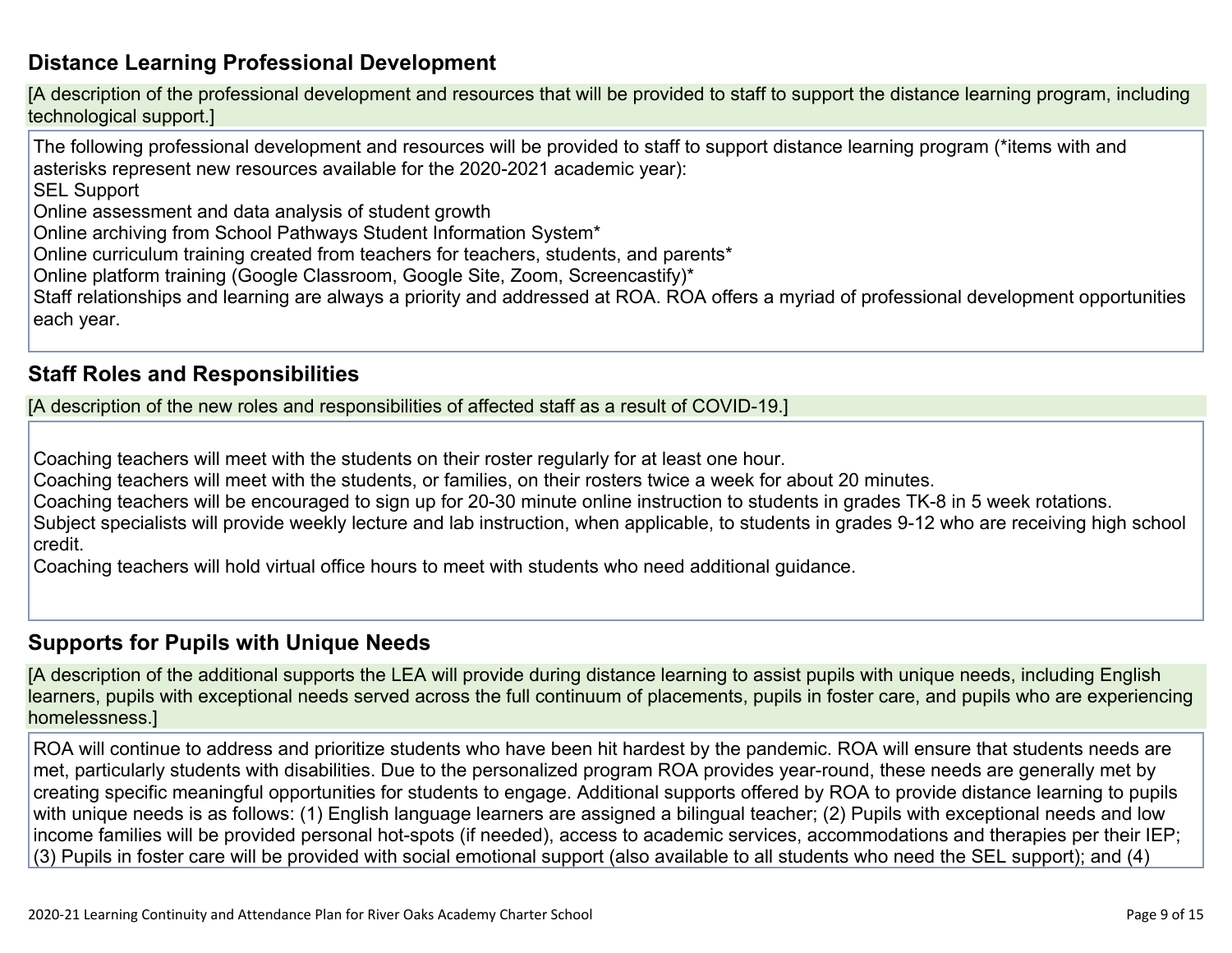### **Distance Learning Professional Development**

[A description of the professional development and resources that will be provided to staff to support the distance learning program, including technological support.]

The following professional development and resources will be provided to staff to support distance learning program (\*items with and asterisks represent new resources available for the 2020-2021 academic year):

SEL Support

Online assessment and data analysis of student growth

Online archiving from School Pathways Student Information System\*

Online curriculum training created from teachers for teachers, students, and parents\*

Online platform training (Google Classroom, Google Site, Zoom, Screencastify)\*

Staff relationships and learning are always a priority and addressed at ROA. ROA offers a myriad of professional development opportunities each year.

#### **Staff Roles and Responsibilities**

[A description of the new roles and responsibilities of affected staff as a result of COVID-19.]

Coaching teachers will meet with the students on their roster regularly for at least one hour.

Coaching teachers will meet with the students, or families, on their rosters twice a week for about 20 minutes.

Coaching teachers will be encouraged to sign up for 20-30 minute online instruction to students in grades TK-8 in 5 week rotations.

Subject specialists will provide weekly lecture and lab instruction, when applicable, to students in grades 9-12 who are receiving high school credit.

Coaching teachers will hold virtual office hours to meet with students who need additional guidance.

#### **Supports for Pupils with Unique Needs**

[A description of the additional supports the LEA will provide during distance learning to assist pupils with unique needs, including English learners, pupils with exceptional needs served across the full continuum of placements, pupils in foster care, and pupils who are experiencing homelessness.]

ROA will continue to address and prioritize students who have been hit hardest by the pandemic. ROA will ensure that students needs are met, particularly students with disabilities. Due to the personalized program ROA provides year-round, these needs are generally met by creating specific meaningful opportunities for students to engage. Additional supports offered by ROA to provide distance learning to pupils with unique needs is as follows: (1) English language learners are assigned a bilingual teacher; (2) Pupils with exceptional needs and low income families will be provided personal hot-spots (if needed), access to academic services, accommodations and therapies per their IEP; (3) Pupils in foster care will be provided with social emotional support (also available to all students who need the SEL support); and (4)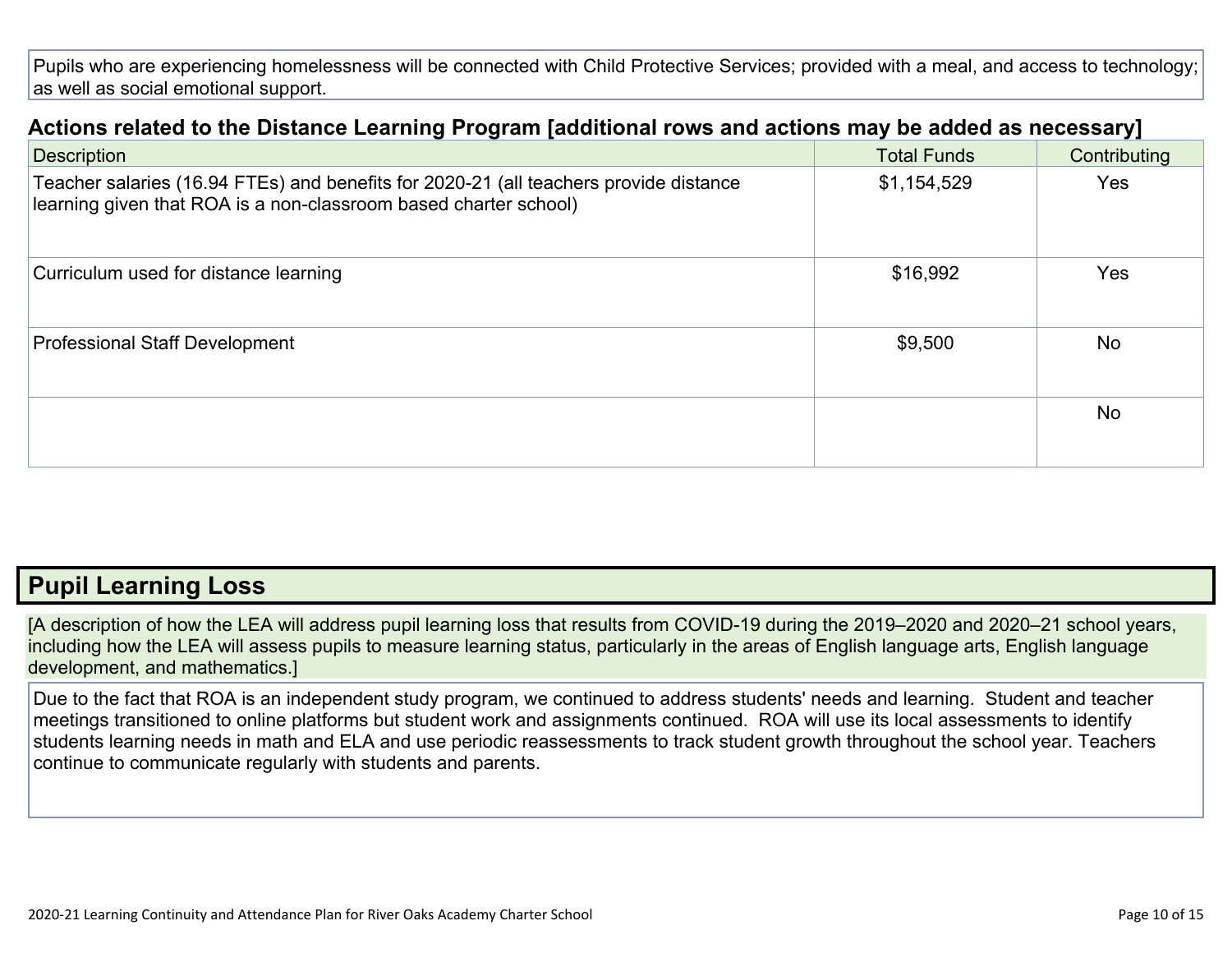Pupils who are experiencing homelessness will be connected with Child Protective Services; provided with a meal, and access to technology; as well as social emotional support.

| Actions related to the Distance Learning Program [additional rows and actions may be added as necessary]                                                  |                    |              |
|-----------------------------------------------------------------------------------------------------------------------------------------------------------|--------------------|--------------|
| <b>Description</b>                                                                                                                                        | <b>Total Funds</b> | Contributing |
| Teacher salaries (16.94 FTEs) and benefits for 2020-21 (all teachers provide distance<br>learning given that ROA is a non-classroom based charter school) | \$1,154,529        | <b>Yes</b>   |
| Curriculum used for distance learning                                                                                                                     | \$16,992           | Yes          |
| <b>Professional Staff Development</b>                                                                                                                     | \$9,500            | No           |
|                                                                                                                                                           |                    | <b>No</b>    |

### **Pupil Learning Loss**

[A description of how the LEA will address pupil learning loss that results from COVID-19 during the 2019–2020 and 2020–21 school years, including how the LEA will assess pupils to measure learning status, particularly in the areas of English language arts, English language development, and mathematics.]

Due to the fact that ROA is an independent study program, we continued to address students' needs and learning. Student and teacher meetings transitioned to online platforms but student work and assignments continued. ROA will use its local assessments to identify students learning needs in math and ELA and use periodic reassessments to track student growth throughout the school year. Teachers continue to communicate regularly with students and parents.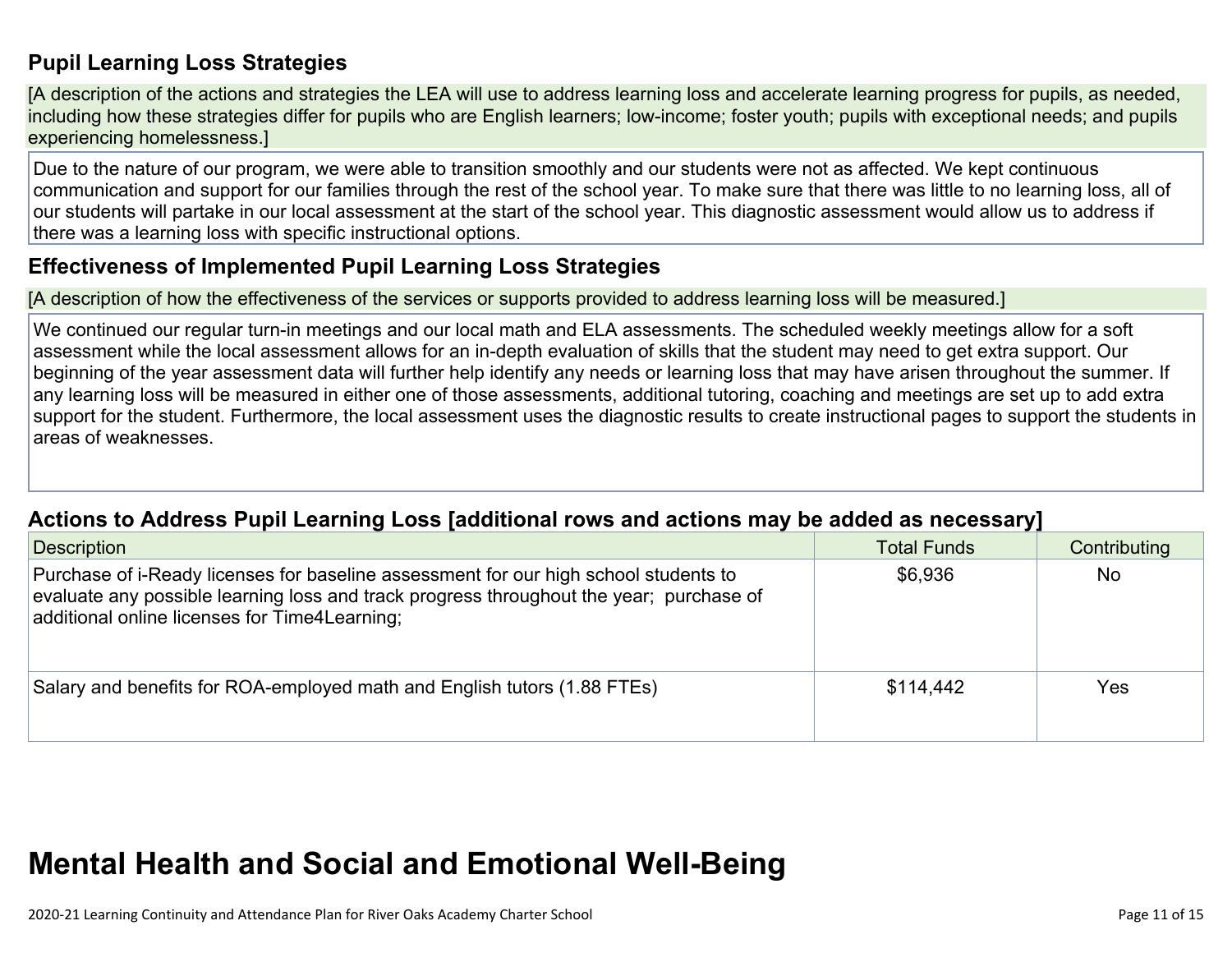### **Pupil Learning Loss Strategies**

[A description of the actions and strategies the LEA will use to address learning loss and accelerate learning progress for pupils, as needed, including how these strategies differ for pupils who are English learners; low-income; foster youth; pupils with exceptional needs; and pupils experiencing homelessness.]

Due to the nature of our program, we were able to transition smoothly and our students were not as affected. We kept continuous communication and support for our families through the rest of the school year. To make sure that there was little to no learning loss, all of our students will partake in our local assessment at the start of the school year. This diagnostic assessment would allow us to address if there was a learning loss with specific instructional options.

#### **Effectiveness of Implemented Pupil Learning Loss Strategies**

[A description of how the effectiveness of the services or supports provided to address learning loss will be measured.]

We continued our regular turn-in meetings and our local math and ELA assessments. The scheduled weekly meetings allow for a soft assessment while the local assessment allows for an in-depth evaluation of skills that the student may need to get extra support. Our beginning of the year assessment data will further help identify any needs or learning loss that may have arisen throughout the summer. If any learning loss will be measured in either one of those assessments, additional tutoring, coaching and meetings are set up to add extra support for the student. Furthermore, the local assessment uses the diagnostic results to create instructional pages to support the students in areas of weaknesses.

#### **Actions to Address Pupil Learning Loss [additional rows and actions may be added as necessary]**

| <b>Description</b>                                                                                                                                                                                                               | <b>Total Funds</b> | Contributing |
|----------------------------------------------------------------------------------------------------------------------------------------------------------------------------------------------------------------------------------|--------------------|--------------|
| Purchase of i-Ready licenses for baseline assessment for our high school students to<br>evaluate any possible learning loss and track progress throughout the year; purchase of<br>additional online licenses for Time4Learning; | \$6,936            | No.          |
| Salary and benefits for ROA-employed math and English tutors (1.88 FTEs)                                                                                                                                                         | \$114.442          | Yes          |

# **Mental Health and Social and Emotional Well-Being**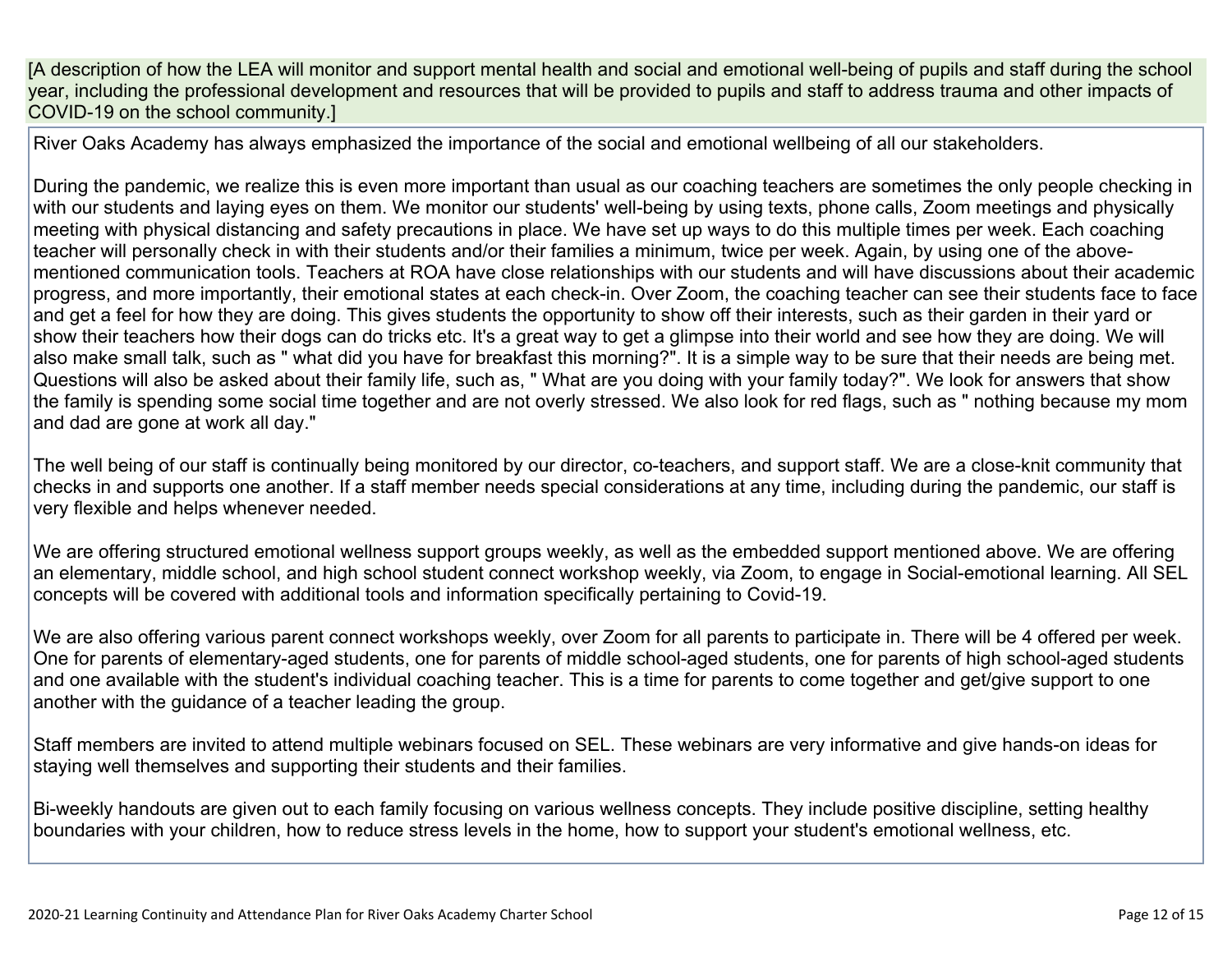[A description of how the LEA will monitor and support mental health and social and emotional well-being of pupils and staff during the school year, including the professional development and resources that will be provided to pupils and staff to address trauma and other impacts of COVID-19 on the school community.]

River Oaks Academy has always emphasized the importance of the social and emotional wellbeing of all our stakeholders.

During the pandemic, we realize this is even more important than usual as our coaching teachers are sometimes the only people checking in with our students and laying eyes on them. We monitor our students' well-being by using texts, phone calls, Zoom meetings and physically meeting with physical distancing and safety precautions in place. We have set up ways to do this multiple times per week. Each coaching teacher will personally check in with their students and/or their families a minimum, twice per week. Again, by using one of the abovementioned communication tools. Teachers at ROA have close relationships with our students and will have discussions about their academic progress, and more importantly, their emotional states at each check-in. Over Zoom, the coaching teacher can see their students face to face and get a feel for how they are doing. This gives students the opportunity to show off their interests, such as their garden in their yard or show their teachers how their dogs can do tricks etc. It's a great way to get a glimpse into their world and see how they are doing. We will also make small talk, such as " what did you have for breakfast this morning?". It is a simple way to be sure that their needs are being met. Questions will also be asked about their family life, such as, " What are you doing with your family today?". We look for answers that show the family is spending some social time together and are not overly stressed. We also look for red flags, such as " nothing because my mom and dad are gone at work all day."

The well being of our staff is continually being monitored by our director, co-teachers, and support staff. We are a close-knit community that checks in and supports one another. If a staff member needs special considerations at any time, including during the pandemic, our staff is very flexible and helps whenever needed.

We are offering structured emotional wellness support groups weekly, as well as the embedded support mentioned above. We are offering an elementary, middle school, and high school student connect workshop weekly, via Zoom, to engage in Social-emotional learning. All SEL concepts will be covered with additional tools and information specifically pertaining to Covid-19.

We are also offering various parent connect workshops weekly, over Zoom for all parents to participate in. There will be 4 offered per week. One for parents of elementary-aged students, one for parents of middle school-aged students, one for parents of high school-aged students and one available with the student's individual coaching teacher. This is a time for parents to come together and get/give support to one another with the guidance of a teacher leading the group.

Staff members are invited to attend multiple webinars focused on SEL. These webinars are very informative and give hands-on ideas for staying well themselves and supporting their students and their families.

Bi-weekly handouts are given out to each family focusing on various wellness concepts. They include positive discipline, setting healthy boundaries with your children, how to reduce stress levels in the home, how to support your student's emotional wellness, etc.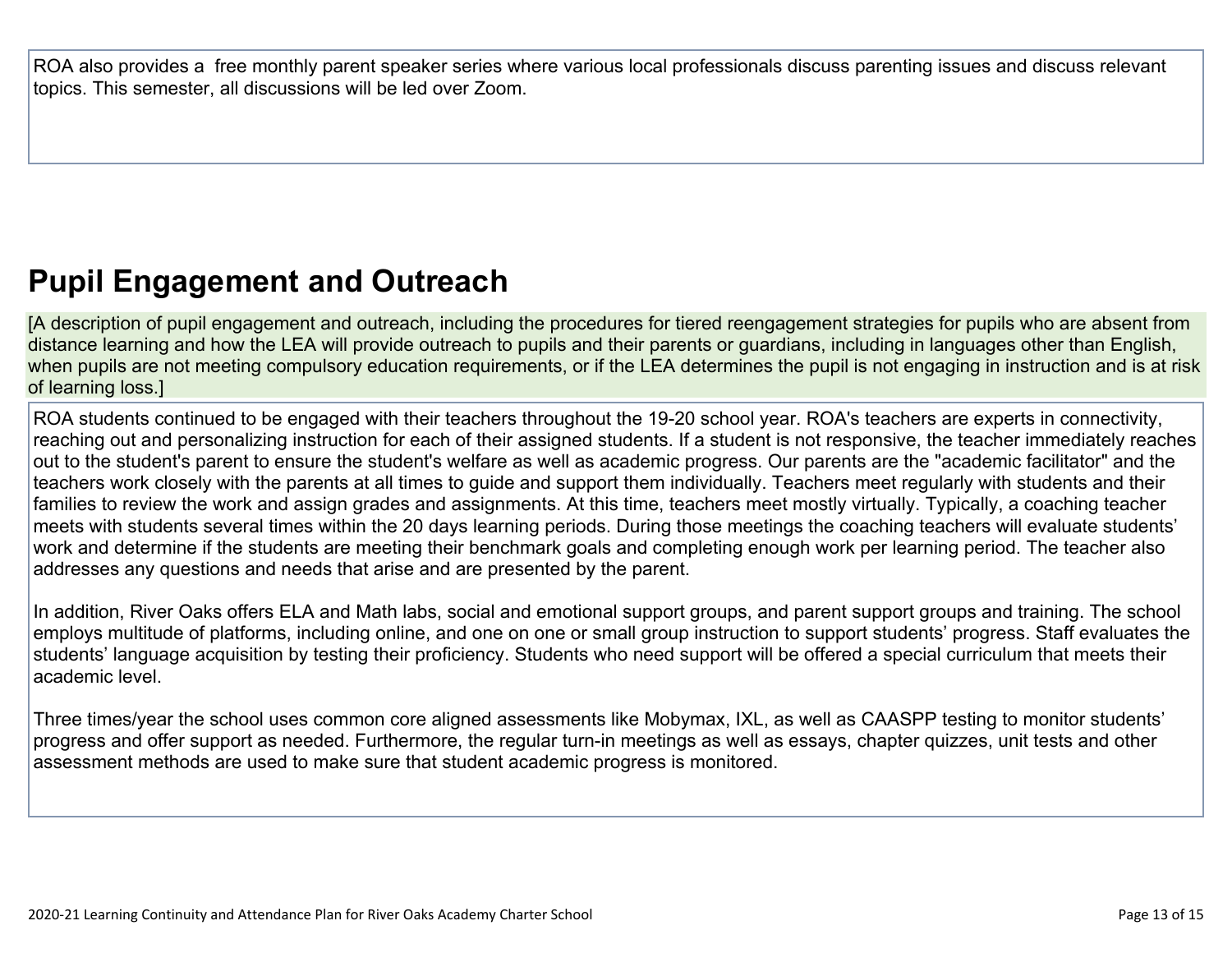ROA also provides a free monthly parent speaker series where various local professionals discuss parenting issues and discuss relevant topics. This semester, all discussions will be led over Zoom.

# **Pupil Engagement and Outreach**

[A description of pupil engagement and outreach, including the procedures for tiered reengagement strategies for pupils who are absent from distance learning and how the LEA will provide outreach to pupils and their parents or guardians, including in languages other than English, when pupils are not meeting compulsory education requirements, or if the LEA determines the pupil is not engaging in instruction and is at risk of learning loss.]

ROA students continued to be engaged with their teachers throughout the 19-20 school year. ROA's teachers are experts in connectivity, reaching out and personalizing instruction for each of their assigned students. If a student is not responsive, the teacher immediately reaches out to the student's parent to ensure the student's welfare as well as academic progress. Our parents are the "academic facilitator" and the teachers work closely with the parents at all times to guide and support them individually. Teachers meet regularly with students and their families to review the work and assign grades and assignments. At this time, teachers meet mostly virtually. Typically, a coaching teacher meets with students several times within the 20 days learning periods. During those meetings the coaching teachers will evaluate students' work and determine if the students are meeting their benchmark goals and completing enough work per learning period. The teacher also addresses any questions and needs that arise and are presented by the parent.

In addition, River Oaks offers ELA and Math labs, social and emotional support groups, and parent support groups and training. The school employs multitude of platforms, including online, and one on one or small group instruction to support students' progress. Staff evaluates the students' language acquisition by testing their proficiency. Students who need support will be offered a special curriculum that meets their academic level.

Three times/year the school uses common core aligned assessments like Mobymax, IXL, as well as CAASPP testing to monitor students' progress and offer support as needed. Furthermore, the regular turn-in meetings as well as essays, chapter quizzes, unit tests and other assessment methods are used to make sure that student academic progress is monitored.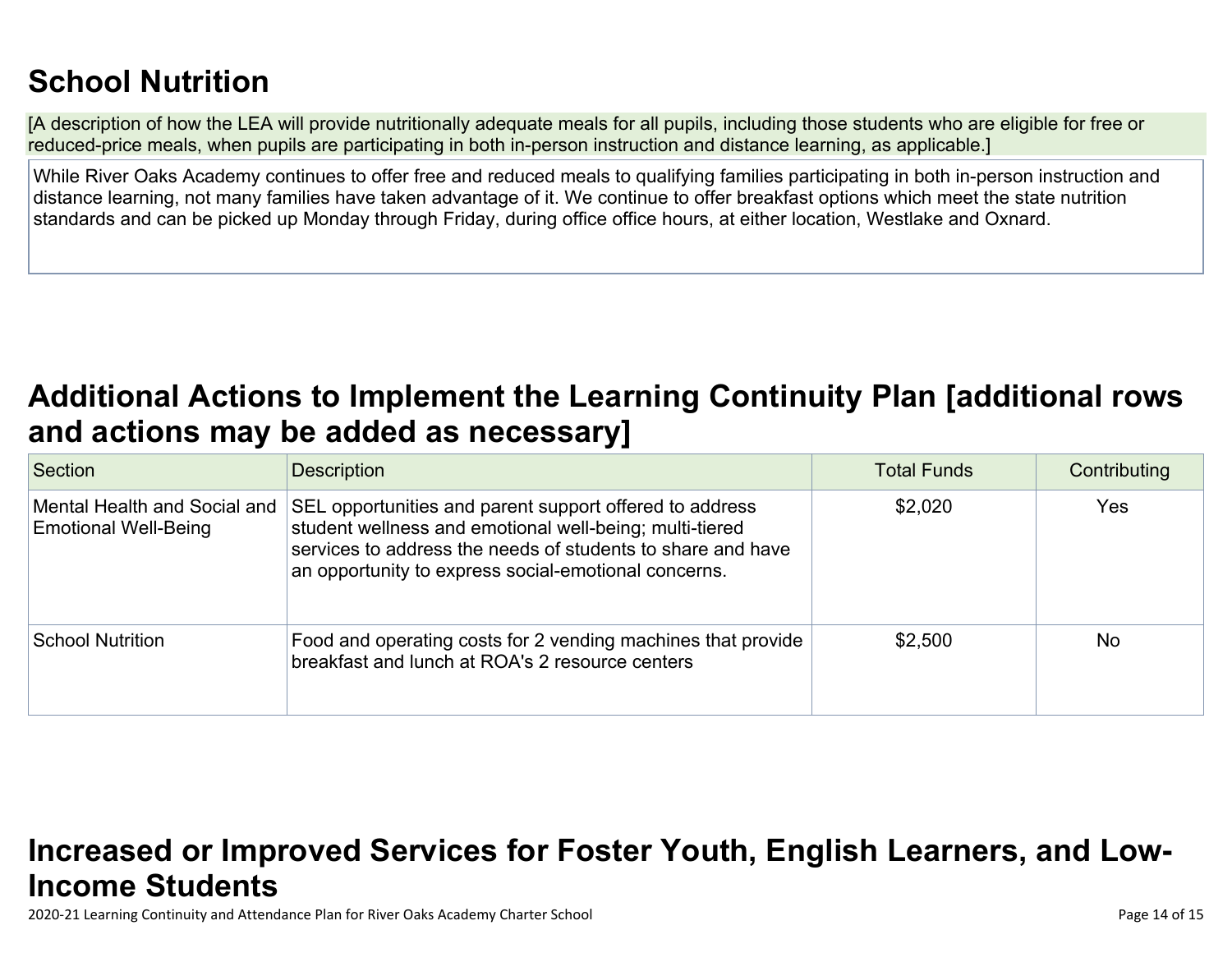# **School Nutrition**

[A description of how the LEA will provide nutritionally adequate meals for all pupils, including those students who are eligible for free or reduced-price meals, when pupils are participating in both in-person instruction and distance learning, as applicable.]

While River Oaks Academy continues to offer free and reduced meals to qualifying families participating in both in-person instruction and distance learning, not many families have taken advantage of it. We continue to offer breakfast options which meet the state nutrition standards and can be picked up Monday through Friday, during office office hours, at either location, Westlake and Oxnard.

# **Additional Actions to Implement the Learning Continuity Plan [additional rows and actions may be added as necessary]**

| Section                                                     | <b>Description</b>                                                                                                                                                                                                                        | <b>Total Funds</b> | Contributing |
|-------------------------------------------------------------|-------------------------------------------------------------------------------------------------------------------------------------------------------------------------------------------------------------------------------------------|--------------------|--------------|
| Mental Health and Social and<br><b>Emotional Well-Being</b> | SEL opportunities and parent support offered to address<br>student wellness and emotional well-being; multi-tiered<br>services to address the needs of students to share and have<br>an opportunity to express social-emotional concerns. | \$2,020            | Yes          |
| <b>School Nutrition</b>                                     | Food and operating costs for 2 vending machines that provide<br>breakfast and lunch at ROA's 2 resource centers                                                                                                                           | \$2,500            | <b>No</b>    |

# **Increased or Improved Services for Foster Youth, English Learners, and Low-Income Students**

2020-21 Learning Continuity and Attendance Plan for River Oaks Academy Charter School Page 14 of 15